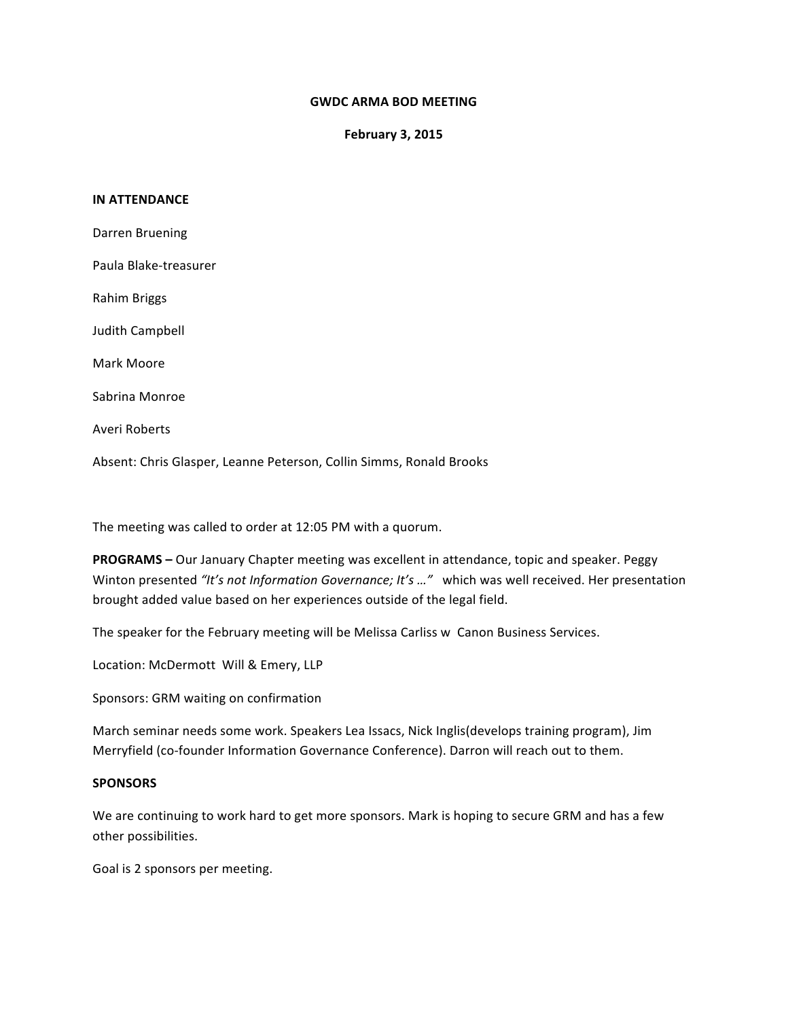## **GWDC ARMA BOD MEETING**

**February 3, 2015**

## **IN ATTENDANCE**

Absent: Chris Glasper, Leanne Peterson, Collin Simms, Ronald Brooks

The meeting was called to order at 12:05 PM with a quorum.

**PROGRAMS** – Our January Chapter meeting was excellent in attendance, topic and speaker. Peggy Winton presented "It's not Information Governance; It's ..." which was well received. Her presentation brought added value based on her experiences outside of the legal field.

The speaker for the February meeting will be Melissa Carliss w Canon Business Services.

Location: McDermott Will & Emery, LLP

Sponsors: GRM waiting on confirmation

March seminar needs some work. Speakers Lea Issacs, Nick Inglis(develops training program), Jim Merryfield (co-founder Information Governance Conference). Darron will reach out to them.

## **SPONSORS**

We are continuing to work hard to get more sponsors. Mark is hoping to secure GRM and has a few other possibilities. 

Goal is 2 sponsors per meeting.